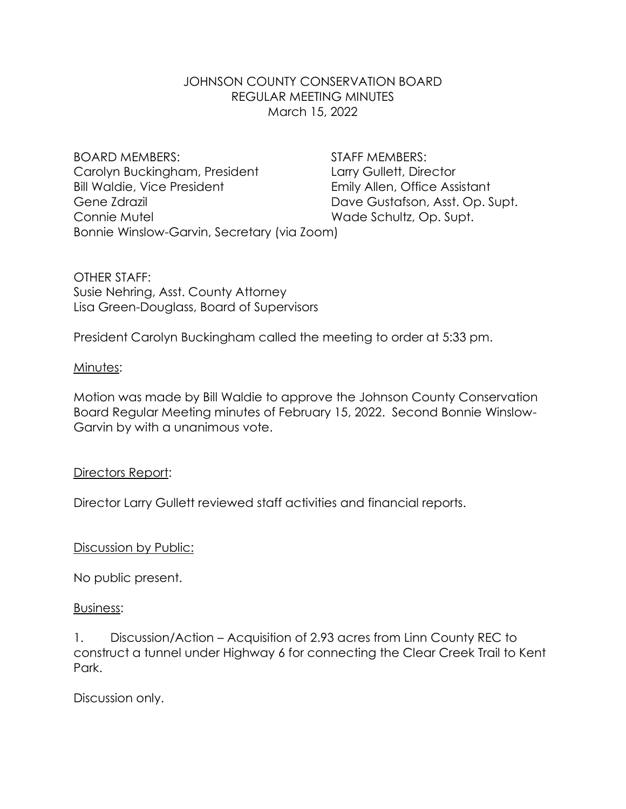## JOHNSON COUNTY CONSERVATION BOARD REGULAR MEETING MINUTES March 15, 2022

BOARD MEMBERS: STAFF MEMBERS: Carolyn Buckingham, President Larry Gullett, Director Bill Waldie, Vice President Emily Allen, Office Assistant Gene Zdrazil **Gustafson, Asst. Op. Supt.** Dave Gustafson, Asst. Op. Supt. Connie Mutel **Wade Schultz**, Op. Supt. Bonnie Winslow-Garvin, Secretary (via Zoom)

OTHER STAFF: Susie Nehring, Asst. County Attorney Lisa Green-Douglass, Board of Supervisors

President Carolyn Buckingham called the meeting to order at 5:33 pm.

### Minutes:

Motion was made by Bill Waldie to approve the Johnson County Conservation Board Regular Meeting minutes of February 15, 2022. Second Bonnie Winslow-Garvin by with a unanimous vote.

#### Directors Report:

Director Larry Gullett reviewed staff activities and financial reports.

Discussion by Public:

No public present.

#### Business:

1. Discussion/Action – Acquisition of 2.93 acres from Linn County REC to construct a tunnel under Highway 6 for connecting the Clear Creek Trail to Kent Park.

Discussion only.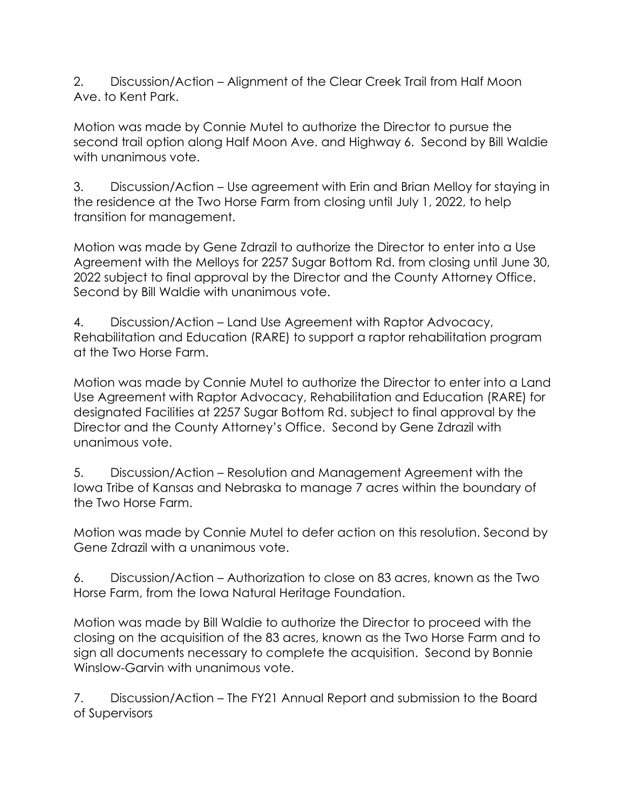2. Discussion/Action – Alignment of the Clear Creek Trail from Half Moon Ave. to Kent Park.

Motion was made by Connie Mutel to authorize the Director to pursue the second trail option along Half Moon Ave. and Highway 6. Second by Bill Waldie with unanimous vote.

3. Discussion/Action – Use agreement with Erin and Brian Melloy for staying in the residence at the Two Horse Farm from closing until July 1, 2022, to help transition for management.

Motion was made by Gene Zdrazil to authorize the Director to enter into a Use Agreement with the Melloys for 2257 Sugar Bottom Rd. from closing until June 30, 2022 subject to final approval by the Director and the County Attorney Office. Second by Bill Waldie with unanimous vote.

4. Discussion/Action – Land Use Agreement with Raptor Advocacy, Rehabilitation and Education (RARE) to support a raptor rehabilitation program at the Two Horse Farm.

Motion was made by Connie Mutel to authorize the Director to enter into a Land Use Agreement with Raptor Advocacy, Rehabilitation and Education (RARE) for designated Facilities at 2257 Sugar Bottom Rd. subject to final approval by the Director and the County Attorney's Office. Second by Gene Zdrazil with unanimous vote.

5. Discussion/Action – Resolution and Management Agreement with the Iowa Tribe of Kansas and Nebraska to manage 7 acres within the boundary of the Two Horse Farm.

Motion was made by Connie Mutel to defer action on this resolution. Second by Gene Zdrazil with a unanimous vote.

6. Discussion/Action – Authorization to close on 83 acres, known as the Two Horse Farm, from the Iowa Natural Heritage Foundation.

Motion was made by Bill Waldie to authorize the Director to proceed with the closing on the acquisition of the 83 acres, known as the Two Horse Farm and to sign all documents necessary to complete the acquisition. Second by Bonnie Winslow-Garvin with unanimous vote.

7. Discussion/Action – The FY21 Annual Report and submission to the Board of Supervisors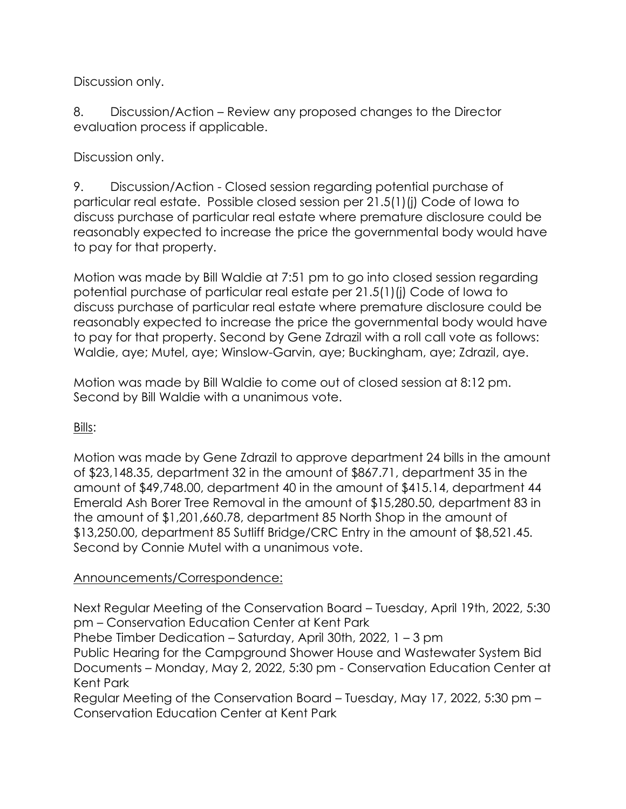Discussion only.

8. Discussion/Action – Review any proposed changes to the Director evaluation process if applicable.

Discussion only.

9. Discussion/Action - Closed session regarding potential purchase of particular real estate. Possible closed session per 21.5(1)(j) Code of Iowa to discuss purchase of particular real estate where premature disclosure could be reasonably expected to increase the price the governmental body would have to pay for that property.

Motion was made by Bill Waldie at 7:51 pm to go into closed session regarding potential purchase of particular real estate per 21.5(1)(j) Code of Iowa to discuss purchase of particular real estate where premature disclosure could be reasonably expected to increase the price the governmental body would have to pay for that property. Second by Gene Zdrazil with a roll call vote as follows: Waldie, aye; Mutel, aye; Winslow-Garvin, aye; Buckingham, aye; Zdrazil, aye.

Motion was made by Bill Waldie to come out of closed session at 8:12 pm. Second by Bill Waldie with a unanimous vote.

Bills:

Motion was made by Gene Zdrazil to approve department 24 bills in the amount of \$23,148.35, department 32 in the amount of \$867.71, department 35 in the amount of \$49,748.00, department 40 in the amount of \$415.14, department 44 Emerald Ash Borer Tree Removal in the amount of \$15,280.50, department 83 in the amount of \$1,201,660.78, department 85 North Shop in the amount of \$13,250.00, department 85 Sutliff Bridge/CRC Entry in the amount of \$8,521.45*.* Second by Connie Mutel with a unanimous vote.

# Announcements/Correspondence:

Next Regular Meeting of the Conservation Board – Tuesday, April 19th, 2022, 5:30 pm – Conservation Education Center at Kent Park

Phebe Timber Dedication – Saturday, April 30th, 2022, 1 – 3 pm

Public Hearing for the Campground Shower House and Wastewater System Bid Documents – Monday, May 2, 2022, 5:30 pm - Conservation Education Center at Kent Park

Regular Meeting of the Conservation Board – Tuesday, May 17, 2022, 5:30 pm – Conservation Education Center at Kent Park